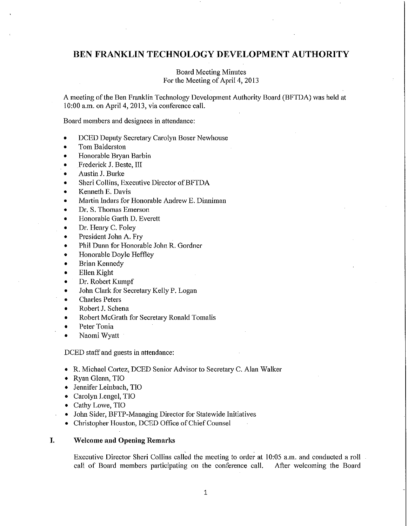# **BEN FRANKLIN TECHNOLOGY DEVELOPMENT AUTHORITY**

# Board Meeting Minutes For the Meeting of April 4, 2013

A meeting ofthe Ben Franklin Technology Development Authority Board (BFTDA) was held at 10:00 a.m. on April 4, 2013, via conference call.

Board members and designees in attendance:

- DCED Deputy Secretaty Carolyn Boser Newhouse
- Tom Balderston
- Honorable Bryan Barbin
- Frederick J. Beste, III
- Austin J. Burke
- Sheri Collins, Executive Director of BFTDA
- Kenneth E. Davis
- Martin Indars for Honorable Andrew E. Dinniman
- Dr. S. Thomas Emerson
- Honorable Garth D. Everett
- Dr. Henry C. Foley
- President John A. Fry
- Phil Dunn for Honorable John R. Gordner
- Honorable Doyle Heffley
- **Brian Kennedy**
- Ellen Kight
- Dr. Robert Kumpf
- John Clark for Secretary Kelly P. Logan
- Charles Peters
- Robert J. Schena
- Robert McGrath for Secretary Ronald Tomalis
- Peter Tonia
- Naomi Wyatt

DCED staff and guests in attendance:

- R. Michael Cortez, DCED Senior Advisor to Secretary C. Alan Walker
- Ryan Glenn, TIO
- Jennifer Leinbach, TIO
- Carolyn Lengel, TIO
- Cathy Lowe, TIO
- Jolm Sider, BFTP-Managing Director for Statewide Initiatives
- Christopher Houston, DCED Office of Chief Counsel

## **I. Welcome and Opening Remarks**

Executive Director Sheri Collins called the meeting to order at 10:05 a.m. and conducted a roll call of Board members participating on the conference call. After welcoming the Board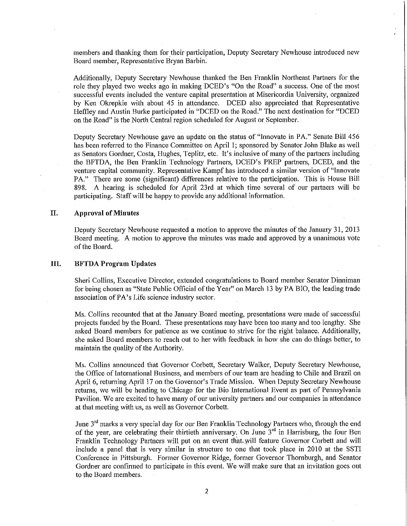members and thanking them for their participation, Deputy Secretary Newhouse introduced new Board member, Representative Bryan Barbin.

Additionally, Deputy Secretaty Newhouse thanked the Ben Franklin Northeast Partners for the role they played two weeks ago in making DCED's "On the Road" a success. One of the most successful events included the venture capital presentation at Misericordia University, organized by Ken Okrepkie with about 45 in attendance. DCED also appreciated that Representative Heffley and Austin Burke participated in "DCED on the Road." The next destination for "DCED on the Road" is the North Central region scheduled for August or September.

Deputy Secretary Newhouse gave an update on the status of "Innovate in PA." Senate Bill 456 has been referred to the Finance Committee on April 1; sponsored by Senator John Blake as well as Senators Gordner, Costa, Hughes, Teplitz, etc. It's inclusive of many ofthe patiners including the BFTDA, the Ben Franklin Technology Partners, DCED's PREP partners, DCED, and the venture capital community. Representative Kampf has introduced a similar version of "Innovate PA." There are some (significant) differences relative to the participation. This is House Bill 898. A hearing is scheduled for April 23rd at which time several of our patiners will be participating. Staff will be happy to provide any additional information.

#### **II. Approval of Minutes**

Deputy Secretary Newhouse requested a motion to approve the minutes of the January 31, 2013 Board meeting. A motion to approve the minutes was made and approved by a unanimous vote of the Board.

#### **III. BFfDA Program Updates**

Sheri Collins, Executive Director, extended congratulations to Board member Senator Dinnirnan for being chosen as "State Public Official of the Year" on March 13 by PA BIO, the leading trade association of PA's Life science industry sector.

Ms. Collins recounted that at the January Board meeting, presentations were made of successful projects funded by the Board. These presentations may have been too many and too lengthy. She asked Board members for patience as we continue to strive for the right balance. Additionally, she asked Board members to reach out to her with feedback in how she can do things better, to maintain the quality of the Authority.

Ms. Collins announced that Governor Corbett, Secretary Walker, Deputy Secretary Newhouse, the Office of International Business, and members of our team are heading to Chile and Brazil on April 6, returning April 17 on the Governor's Trade Mission. When Deputy Secretary Newhouse returns, we will be heading to Chicago for the Bio International Event as part of Pennsylvania Pavilion. We are excited to have many of our university partners and our companies in attendance at that meeting with us, as well as Governor Corbett.

June 3<sup>rd</sup> marks a very special day for our Ben Franklin Technology Partners who, through the end of the year, are celebrating their thirtieth anniversary. On June 3<sup>rd</sup> in Harrisburg, the four Ben Franklin Technology Partners will put on an event that will feature Governor Corbett and will include a panel that is very similar in structure to one that took place in 2010 at the SSTI Conference in Pittsburgh. Fonner Governor Ridge, fonner Governor Thornburgh, and Senator Gordner are confirmed to patticipate in this event. We will make sure that an invitation goes out to the Board members.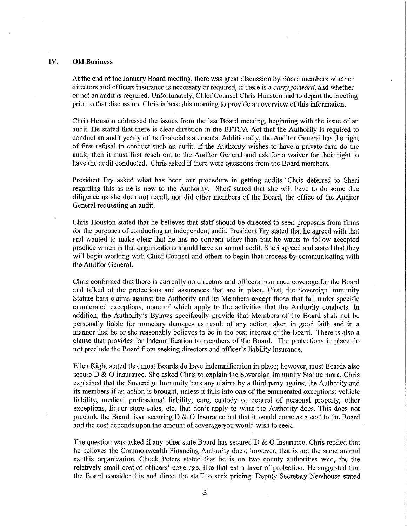#### **IV. Old Business**

At the end of the January Board meeting, there was great discussion by Board members whether directors and officers insurance is necessary or required, if there is a *carry forward*, and whether or not an audit is required. Unfortunately, Chief Counsel Chris Houston had to depatt the meeting prior to that discussion. Chris is here this morning to provide an overview ofthis information.

Chris Houston addressed the issues from the last Board meeting, beginning with the issue of an audit. He stated that there is clear direction in the BFTDA Act that the Authority is required to conduct an audit yearly of its financial statements. Additionally, the Auditor General has the right of first refusal to conduct such an audit. If the Authority wishes to have a private firm do the audit, then it must first reach out to the Auditor General and ask for a waiver for their right to have the audit conducted. Chris asked if there were questions from the Board members.

President Fry asked what has been our procedure in getting audits. Chris deferred to Sheri regarding this as he is new to the Authority. Sheri stated that she will have to do some due diligence as she does not recall, nor did other members of the Board, the office of the Auditor General requesting an audit.

Chris Houston stated that he believes that staff should be directed to seek proposals from firms for the purposes of conducting an independent audit. President Firy stated that he agreed with that and wanted to make clear that he has no concern other than that he wants to follow accepted practice which is that organizations should have an annual audit. Sheri agreed and stated that they will begin working with Chief Counsel and others to begin that process by communicating with the Auditor General.

Chris confirmed that there is currently no directors and officers insurance coverage. for the Board and talked of the protections and assurances that are in place. First, the Sovereign Immunity Statute bars claims against the Authority and its Members except those that fall under specific enumerated exceptions, none of which apply to the activities that the Authority conducts. In addition, the Authority's Bylaws specifically provide that Members of the Board shall not be personally liable for monetary damages as result of any action taken in good faith and in a manner that he or she reasonably believes to be in the best interest of the Board. There is also a clause that provides for indemnification to members of the Board. The protections in place do not preclude the Board from seeking directors and officer's liability insurance.

Ellen Kight stated that most Boards do have indemnification in place; however, most Boards also secure  $D \& O$  insurance. She asked Chris to explain the Sovereign Immunity Statute more. Chris explained that the Sovereign Immunity bars any claims by a third patty against the Authority and its members if an action is brought, unless it falls into one of the enumerated exceptions: vehicle liability, medical professional liability, care, custody or control of personal property, other exceptions, liquor store sales, etc. that don't apply to what the Authority does. This does not preclude the Board from securing D & 0 Insurance but that it would come as a cost to the Board and the cost depends upon the amount of coverage you would wish to seek.

The question was asked if any other state Board has secured  $D \& O$  Insurance. Chris replied that he believes the Commonwealth Financing Authority does; however, that is not the same animal as this organization. Chuck Peters stated that he is on two county authorities who, for the relatively small cost of officers' coverage, like that extra layer of protection. He suggested that the Board consider this and direct the staff to seek pricing. Deputy Secretary Newhouse stated